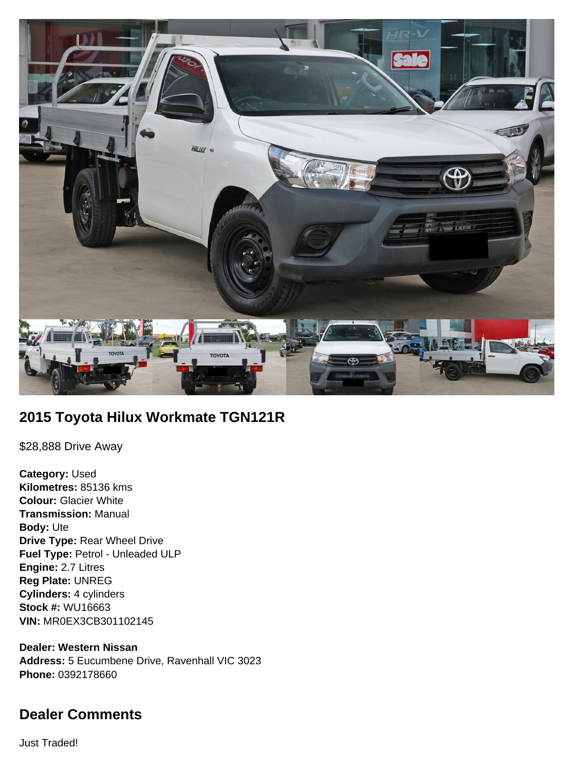

# **2015 Toyota Hilux Workmate TGN121R**

\$28,888 Drive Away

**Category:** Used **Kilometres:** 85136 kms **Colour:** Glacier White **Transmission:** Manual **Body:** Ute **Drive Type:** Rear Wheel Drive **Fuel Type:** Petrol - Unleaded ULP **Engine:** 2.7 Litres **Reg Plate:** UNREG **Cylinders:** 4 cylinders **Stock #:** WU16663 **VIN:** MR0EX3CB301102145

**Dealer: Western Nissan Address:** 5 Eucumbene Drive, Ravenhall VIC 3023 **Phone:** 0392178660

# **Dealer Comments**

Just Traded!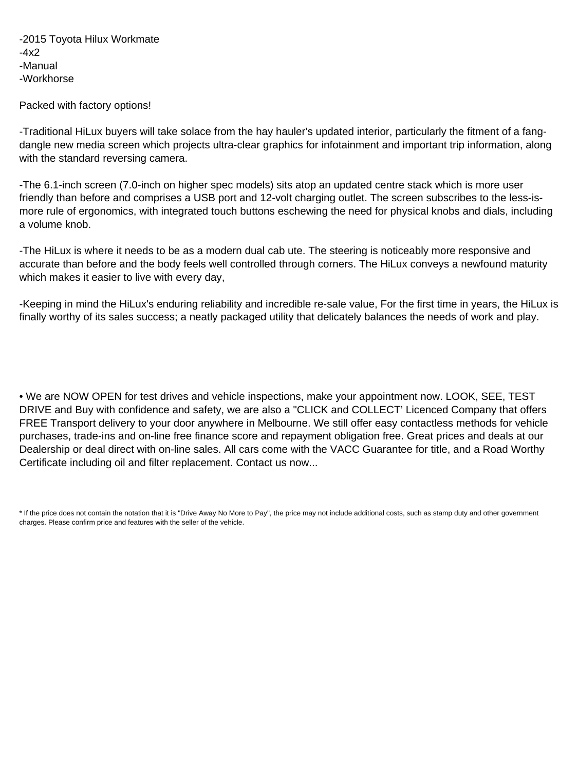-2015 Toyota Hilux Workmate  $-4x2$ -Manual -Workhorse

Packed with factory options!

-Traditional HiLux buyers will take solace from the hay hauler's updated interior, particularly the fitment of a fangdangle new media screen which projects ultra-clear graphics for infotainment and important trip information, along with the standard reversing camera.

-The 6.1-inch screen (7.0-inch on higher spec models) sits atop an updated centre stack which is more user friendly than before and comprises a USB port and 12-volt charging outlet. The screen subscribes to the less-ismore rule of ergonomics, with integrated touch buttons eschewing the need for physical knobs and dials, including a volume knob.

-The HiLux is where it needs to be as a modern dual cab ute. The steering is noticeably more responsive and accurate than before and the body feels well controlled through corners. The HiLux conveys a newfound maturity which makes it easier to live with every day,

-Keeping in mind the HiLux's enduring reliability and incredible re-sale value, For the first time in years, the HiLux is finally worthy of its sales success; a neatly packaged utility that delicately balances the needs of work and play.

• We are NOW OPEN for test drives and vehicle inspections, make your appointment now. LOOK, SEE, TEST DRIVE and Buy with confidence and safety, we are also a "CLICK and COLLECT' Licenced Company that offers FREE Transport delivery to your door anywhere in Melbourne. We still offer easy contactless methods for vehicle purchases, trade-ins and on-line free finance score and repayment obligation free. Great prices and deals at our Dealership or deal direct with on-line sales. All cars come with the VACC Guarantee for title, and a Road Worthy Certificate including oil and filter replacement. Contact us now...

<sup>\*</sup> If the price does not contain the notation that it is "Drive Away No More to Pay", the price may not include additional costs, such as stamp duty and other government charges. Please confirm price and features with the seller of the vehicle.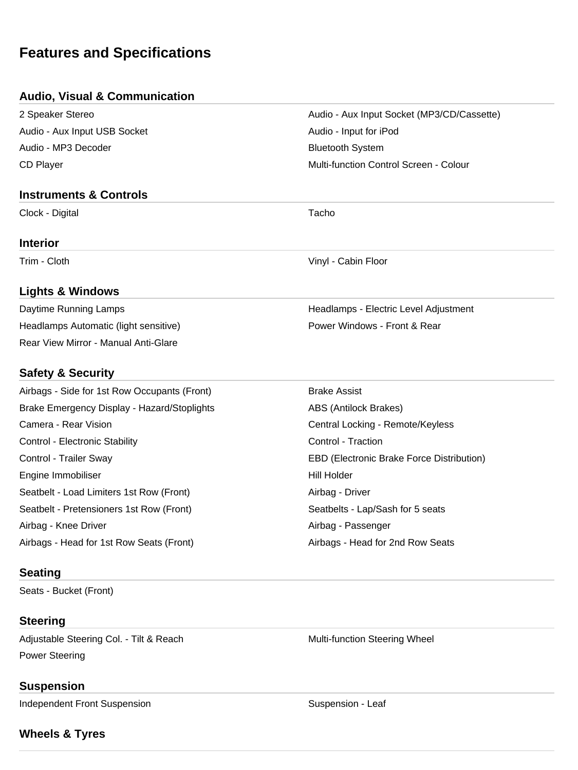# **Features and Specifications**

## **Audio, Visual & Communication**

| 2 Speaker Stereo             |
|------------------------------|
| Audio - Aux Input USB Socket |
| Audio - MP3 Decoder          |
| <b>CD Player</b>             |

#### **Instruments & Controls**

Clock - Digital Tacho

## **Interior**

Trim - Cloth Vinyl - Cabin Floor

## **Lights & Windows**

Daytime Running Lamps **Headlamps** - Electric Level Adjustment Headlamps Automatic (light sensitive) Manuscription of Power Windows - Front & Rear Rear View Mirror - Manual Anti-Glare

## **Safety & Security**

| Airbags - Side for 1st Row Occupants (Front) | <b>Brake Assist</b>                       |
|----------------------------------------------|-------------------------------------------|
| Brake Emergency Display - Hazard/Stoplights  | ABS (Antilock Brakes)                     |
| Camera - Rear Vision                         | Central Locking - Remote/Keyless          |
| Control - Electronic Stability               | Control - Traction                        |
| Control - Trailer Sway                       | EBD (Electronic Brake Force Distribution) |
| Engine Immobiliser                           | Hill Holder                               |
| Seatbelt - Load Limiters 1st Row (Front)     | Airbag - Driver                           |
| Seatbelt - Pretensioners 1st Row (Front)     | Seatbelts - Lap/Sash for 5 seats          |
| Airbag - Knee Driver                         | Airbag - Passenger                        |
| Airbags - Head for 1st Row Seats (Front)     | Airbags - Head for 2nd Row Seats          |

## **Seating**

Seats - Bucket (Front)

# **Steering**

Adjustable Steering Col. - Tilt & Reach Multi-function Steering Wheel Power Steering

# **Suspension**

Independent Front Suspension Suspension Suspension Suspension - Leaf

# **Wheels & Tyres**

Audio - Aux Input Socket (MP3/CD/Cassette)

Multi-function Control Screen - Colour

Audio - Input for iPod **Bluetooth System**